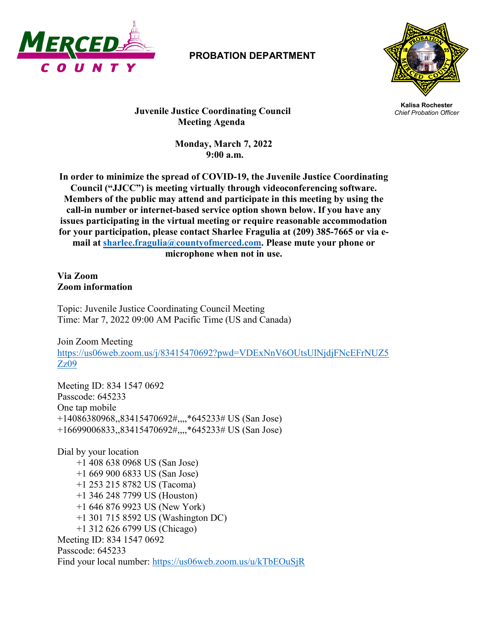

## **PROBATION DEPARTMENT**



**Kalisa Rochester Juvenile Justice Coordinating Council** *Chief Probation Officer* **Meeting Agenda**

> **Monday, March 7, 2022 9:00 a.m.**

**In order to minimize the spread of COVID-19, the Juvenile Justice Coordinating Council ("JJCC") is meeting virtually through videoconferencing software. Members of the public may attend and participate in this meeting by using the call-in number or internet-based service option shown below. If you have any issues participating in the virtual meeting or require reasonable accommodation for your participation, please contact Sharlee Fragulia at (209) 385-7665 or via email at [sharlee.fragulia@countyofmerced.com.](mailto:sharlee.fragulia@countyofmerced.com) Please mute your phone or microphone when not in use.**

**Via Zoom Zoom information**

Topic: Juvenile Justice Coordinating Council Meeting Time: Mar 7, 2022 09:00 AM Pacific Time (US and Canada)

Join Zoom Meeting [https://us06web.zoom.us/j/83415470692?pwd=VDExNnV6OUtsUlNjdjFNcEFrNUZ5](https://us06web.zoom.us/j/83415470692?pwd=VDExNnV6OUtsUlNjdjFNcEFrNUZ5Zz09) [Zz09](https://us06web.zoom.us/j/83415470692?pwd=VDExNnV6OUtsUlNjdjFNcEFrNUZ5Zz09)

Meeting ID: 834 1547 0692 Passcode: 645233 One tap mobile +14086380968,,83415470692#,,,,\*645233# US (San Jose) +16699006833,,83415470692#,,,,\*645233# US (San Jose)

Dial by your location +1 408 638 0968 US (San Jose) +1 669 900 6833 US (San Jose) +1 253 215 8782 US (Tacoma) +1 346 248 7799 US (Houston) +1 646 876 9923 US (New York) +1 301 715 8592 US (Washington DC) +1 312 626 6799 US (Chicago) Meeting ID: 834 1547 0692 Passcode: 645233 Find your local number:<https://us06web.zoom.us/u/kTbEOuSjR>